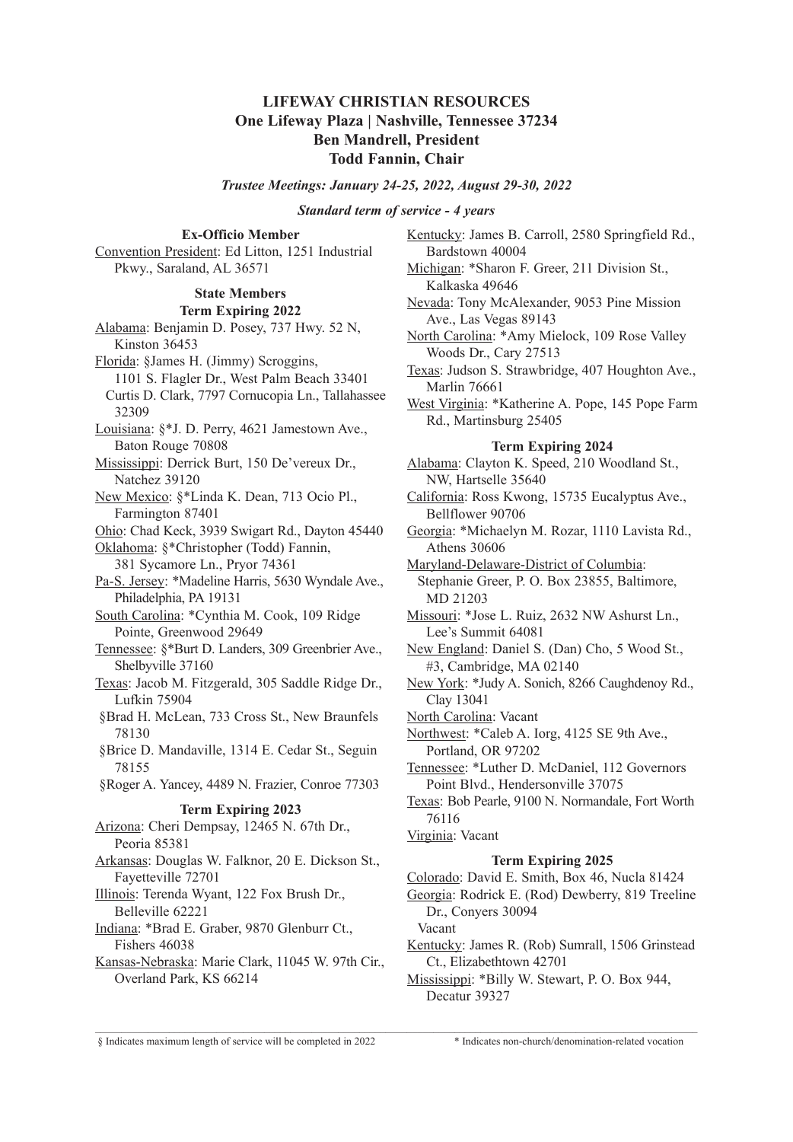# **LIFEWAY CHRISTIAN RESOURCES One Lifeway Plaza | Nashville, Tennessee 37234 Ben Mandrell, President Todd Fannin, Chair**

### *Trustee Meetings: January 24-25, 2022, August 29-30, 2022*

#### *Standard term of service - 4 years*

**Ex-Officio Member** Convention President: Ed Litton, 1251 Industrial Pkwy., Saraland, AL 36571

### **State Members Term Expiring 2022**

Alabama: Benjamin D. Posey, 737 Hwy. 52 N, Kinston 36453 Florida: §James H. (Jimmy) Scroggins, 1101 S. Flagler Dr., West Palm Beach 33401 Curtis D. Clark, 7797 Cornucopia Ln., Tallahassee 32309 Louisiana: §\*J. D. Perry, 4621 Jamestown Ave., Baton Rouge 70808 Mississippi: Derrick Burt, 150 De'vereux Dr., Natchez 39120 New Mexico: §\*Linda K. Dean, 713 Ocio Pl., Farmington 87401 Ohio: Chad Keck, 3939 Swigart Rd., Dayton 45440 Oklahoma: §\*Christopher (Todd) Fannin, 381 Sycamore Ln., Pryor 74361 Pa-S. Jersey: \*Madeline Harris, 5630 Wyndale Ave., Philadelphia, PA 19131 South Carolina: \*Cynthia M. Cook, 109 Ridge Pointe, Greenwood 29649 Tennessee: §\*Burt D. Landers, 309 Greenbrier Ave., Shelbyville 37160 Texas: Jacob M. Fitzgerald, 305 Saddle Ridge Dr., Lufkin 75904 §Brad H. McLean, 733 Cross St., New Braunfels 78130 §Brice D. Mandaville, 1314 E. Cedar St., Seguin 78155 §Roger A. Yancey, 4489 N. Frazier, Conroe 77303 **Term Expiring 2023** Arizona: Cheri Dempsay, 12465 N. 67th Dr., Peoria 85381 Arkansas: Douglas W. Falknor, 20 E. Dickson St., Fayetteville 72701 Illinois: Terenda Wyant, 122 Fox Brush Dr., Belleville 62221 Indiana: \*Brad E. Graber, 9870 Glenburr Ct., Fishers 46038 Kansas-Nebraska: Marie Clark, 11045 W. 97th Cir., Overland Park, KS 66214

Kentucky: James B. Carroll, 2580 Springfield Rd., Bardstown 40004 Michigan: \*Sharon F. Greer, 211 Division St., Kalkaska 49646 Nevada: Tony McAlexander, 9053 Pine Mission Ave., Las Vegas 89143 North Carolina: \*Amy Mielock, 109 Rose Valley Woods Dr., Cary 27513 Texas: Judson S. Strawbridge, 407 Houghton Ave., Marlin 76661 West Virginia: \*Katherine A. Pope, 145 Pope Farm Rd., Martinsburg 25405 **Term Expiring 2024** Alabama: Clayton K. Speed, 210 Woodland St., NW, Hartselle 35640 California: Ross Kwong, 15735 Eucalyptus Ave., Bellflower 90706 Georgia: \*Michaelyn M. Rozar, 1110 Lavista Rd., Athens 30606 Maryland-Delaware-District of Columbia: Stephanie Greer, P. O. Box 23855, Baltimore, MD 21203 Missouri: \*Jose L. Ruiz, 2632 NW Ashurst Ln., Lee's Summit 64081 New England: Daniel S. (Dan) Cho, 5 Wood St., #3, Cambridge, MA 02140 New York: \*Judy A. Sonich, 8266 Caughdenoy Rd., Clay 13041 North Carolina: Vacant Northwest: \*Caleb A. Iorg, 4125 SE 9th Ave., Portland, OR 97202 Tennessee: \*Luther D. McDaniel, 112 Governors Point Blvd., Hendersonville 37075 Texas: Bob Pearle, 9100 N. Normandale, Fort Worth 76116 Virginia: Vacant **Term Expiring 2025** Colorado: David E. Smith, Box 46, Nucla 81424 Georgia: Rodrick E. (Rod) Dewberry, 819 Treeline Dr., Conyers 30094

Vacant

 $\mathcal{L}_\mathcal{L} = \mathcal{L}_\mathcal{L} = \mathcal{L}_\mathcal{L} = \mathcal{L}_\mathcal{L} = \mathcal{L}_\mathcal{L} = \mathcal{L}_\mathcal{L} = \mathcal{L}_\mathcal{L} = \mathcal{L}_\mathcal{L} = \mathcal{L}_\mathcal{L} = \mathcal{L}_\mathcal{L} = \mathcal{L}_\mathcal{L} = \mathcal{L}_\mathcal{L} = \mathcal{L}_\mathcal{L} = \mathcal{L}_\mathcal{L} = \mathcal{L}_\mathcal{L} = \mathcal{L}_\mathcal{L} = \mathcal{L}_\mathcal{L}$ 

- Kentucky: James R. (Rob) Sumrall, 1506 Grinstead Ct., Elizabethtown 42701
- Mississippi: \*Billy W. Stewart, P. O. Box 944, Decatur 39327

§ Indicates maximum length of service will be completed in 2022 \* Indicates non-church/denomination-related vocation